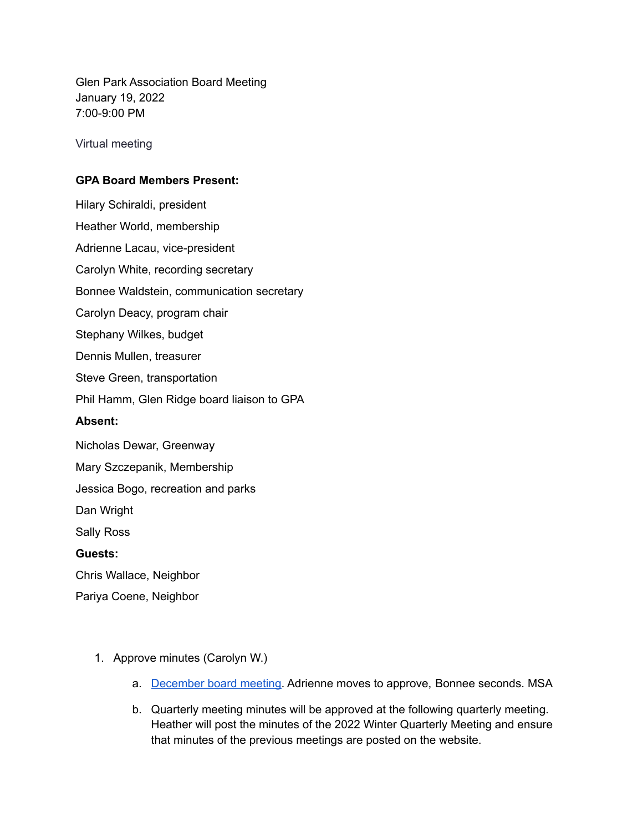Glen Park Association Board Meeting January 19, 2022 7:00-9:00 PM

Virtual meeting

## **GPA Board Members Present:**

Hilary Schiraldi, president Heather World, membership Adrienne Lacau, vice-president Carolyn White, recording secretary Bonnee Waldstein, communication secretary Carolyn Deacy, program chair Stephany Wilkes, budget Dennis Mullen, treasurer Steve Green, transportation Phil Hamm, Glen Ridge board liaison to GPA **Absent:** Nicholas Dewar, Greenway Mary Szczepanik, Membership Jessica Bogo, recreation and parks Dan Wright Sally Ross **Guests:** Chris Wallace, Neighbor Pariya Coene, Neighbor

- 1. Approve minutes (Carolyn W.)
	- a. [December](https://docs.google.com/document/d/1ih-jU5Lf-JJvTHrWjUgPv4OzMoDkZCfzCtmItm1V5mo/edit?usp=sharing) board meeting. Adrienne moves to approve, Bonnee seconds. MSA
	- b. Quarterly meeting minutes will be approved at the following quarterly meeting. Heather will post the minutes of the 2022 Winter Quarterly Meeting and ensure that minutes of the previous meetings are posted on the website.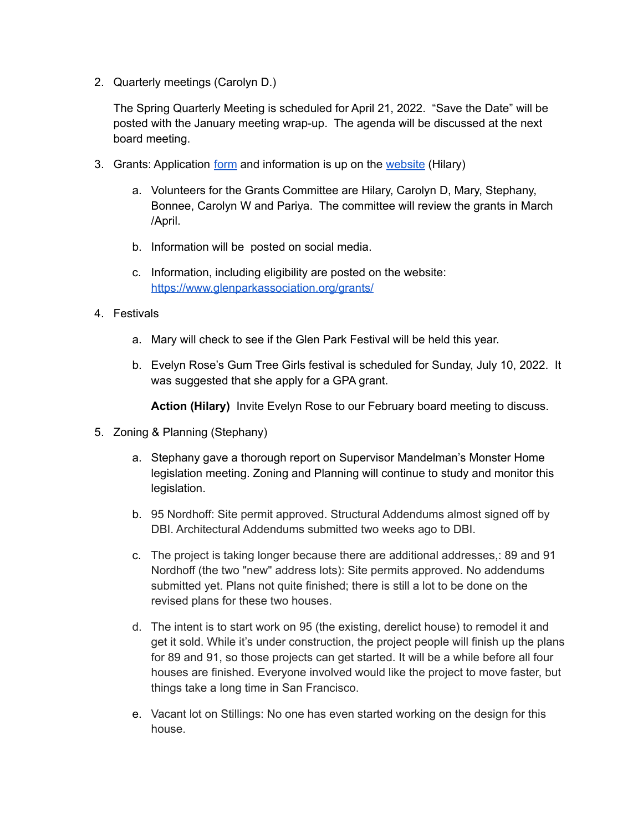2. Quarterly meetings (Carolyn D.)

The Spring Quarterly Meeting is scheduled for April 21, 2022. "Save the Date" will be posted with the January meeting wrap-up. The agenda will be discussed at the next board meeting.

- 3. Grants: Application [form](https://forms.gle/AKAjxK3p1348YKZL9) and information is up on the [website](https://www.glenparkassociation.org/grants/) (Hilary)
	- a. Volunteers for the Grants Committee are Hilary, Carolyn D, Mary, Stephany, Bonnee, Carolyn W and Pariya. The committee will review the grants in March /April.
	- b. Information will be posted on social media.
	- c. Information, including eligibility are posted on the website: <https://www.glenparkassociation.org/grants/>
- 4. Festivals
	- a. Mary will check to see if the Glen Park Festival will be held this year.
	- b. Evelyn Rose's Gum Tree Girls festival is scheduled for Sunday, July 10, 2022. It was suggested that she apply for a GPA grant.

**Action (Hilary)** Invite Evelyn Rose to our February board meeting to discuss.

- 5. Zoning & Planning (Stephany)
	- a. Stephany gave a thorough report on Supervisor Mandelman's Monster Home legislation meeting. Zoning and Planning will continue to study and monitor this legislation.
	- b. 95 Nordhoff: Site permit approved. Structural Addendums almost signed off by DBI. Architectural Addendums submitted two weeks ago to DBI.
	- c. The project is taking longer because there are additional addresses,: 89 and 91 Nordhoff (the two "new" address lots): Site permits approved. No addendums submitted yet. Plans not quite finished; there is still a lot to be done on the revised plans for these two houses.
	- d. The intent is to start work on 95 (the existing, derelict house) to remodel it and get it sold. While it's under construction, the project people will finish up the plans for 89 and 91, so those projects can get started. It will be a while before all four houses are finished. Everyone involved would like the project to move faster, but things take a long time in San Francisco.
	- e. Vacant lot on Stillings: No one has even started working on the design for this house.